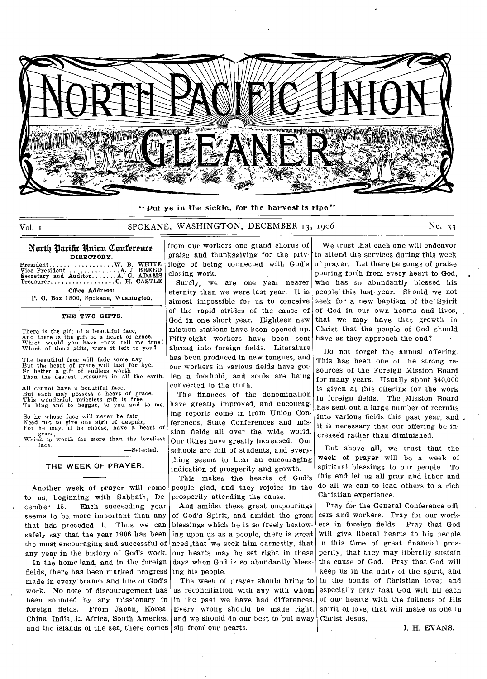

" Put ye in the sickle, for the harvest is ripe"

# Vol. 1 SPOKANE, WASHINGTON, DECEMBER 13, 1906 No. 33

#### North Parifir Union Conference DIRECTORY.

President Vice President Office Address: Secretary and Auditor...... Treasurer W. B. WHITE<br>.A. J. BREED<br>.A. G. ADAMS<br>.C. H. CASTLE

P. 0. Box 1800, Spokane, Washington.

#### THE TWO GIFTS.

There is the gift of a beautiful face,<br>And there is the gift of a heart of grace.<br>Which would you have—now tell me true!<br>Which of these gifts, were it left to you?

The beautiful face will fade some day, But the heart of grace will last for aye. So better a gift of endless worth Than the dearest treasures in all the earth.

All cannot have a beautiful face. But each may possess a heart of grace. This wonderful, priceless gift is free To king and to beggar, to you and to me.

So he whose face will never be fair Need not to give one sigh of despair, For he may, if he choose, have a heart of grace, Which is worth far more than the loveliest face.

—Selected.

#### **THE WEEK OF PRAYER.**

Another week of prayer will come to us, beginning with Sabbath, December 15. Each succeeding year seems to be more important than any that has preceded it. Thus we can safely say that the year 1906 has been the most encouraging and successful of any year in the history of God's work.

In the home-land, and in the foreign fields, there has been marked progress made in every branch and line of God's work. No note of discouragement has been sounded by any missionary in foreign fields. From Japan, Korea, China, India, in Africa, South America, and the islands of the sea, there comes  $|\sin$  from our hearts.

from our workers one grand chorus of praise and thanksgiving for the privilege of being connected with God's closing work.

Surely, we are one year nearer eternity than we were last year. It is almost impassible for us to conceive of the rapid strides of the cause of God in one short year. Eighteen new mission stations have been opened up. Fifty-eight workers have been sent abroad into foreign fields. Literature has been produced in new tongues, and our workers in various fields have gotten a foothold, and souls are being converted to the truth.

The finances of the denomination have greatly improved, and encouraging reports come in from Union Conferences, State Conferences and mission fields all over the wide world. Our tithes have greatly increased. Our schools are full of students, and everything seems to bear an encouraging indication of prosperity and growth.

This makes the hearts of God's people glad, and they rejoice in the prosperity attending the cause.

And amidst these great outpourings of God's Spirit, and amidst the great blessings which he is so freely bestowing upon us as a people, there is great need ,that we seek 'him earnestly, that our hearts may be set right in these days when God is so abundantly blessing his people.

The week of prayer should bring to us reconciliation with any with whom in the past we have had differences. Every wrong should be made right, and we should do our best to put away

We trust that each one will endeavor to attend the services during this week of prayer. Let there be songs of praise pouring forth from every heart to God, who has so abundantly blessed his people this last year. Should we not seek for a new baptism of the' Spirit of God in our own hearts and lives, that we may have that growth in Christ that the people of God should have as they approach the end?

Do not forget the annual offering. This has been one of the strong resources of the Foreign Mission Board for many years. Usually about \$40,000 is given at this offering for the work in foreign fields. The Mission Board has sent out a large number of recruits into various fields this past year, and • it is necessary that our offering be increased rather than diminished.

But above all, we trust that the week of prayer will be a week of spiritual blessings to our people. To this end let us all pray and labor and do all we can to lead others to a rich Christian experience.

Pray for the General Conference officers and workers. Pray for our workers in foreign fields. Pray that God Will give liberal hearts to his people in this time of great financial prosperity, that they may liberally sustain the cause of God. Pray thaT God will keep us in the unity of the spirit, and in the bonds of Christian love; and especially pray that God will fill each of our hearts with the fullness of His spirit of love, that will make us one in Christ Jesus.

I. H. EVANS.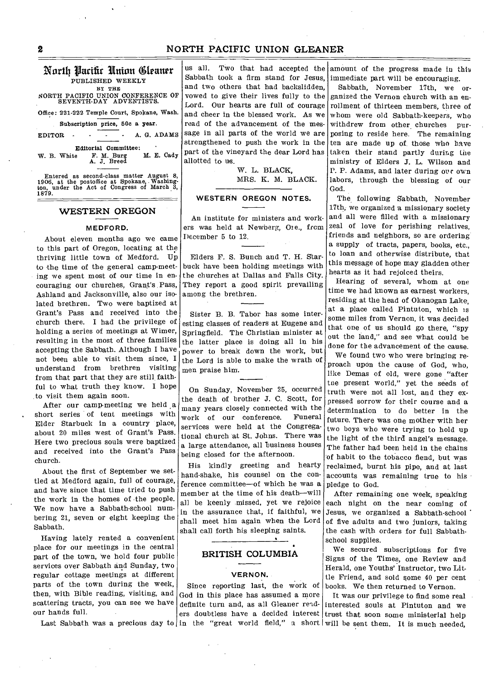# North Parifir Union (Cleaner PUBLISHED WEEKLY BY THE NORTH PACIFIC UNION CONFERENCE OF SEVENTH-DAY ADVENTISTS. Office: 221-222 Temple Court, Spokane, Wash. Subscription price, 50c a year. EDITOR - - - - A. G. ADAMS **Editorial Committee:**<br> **E.** F. M. Burg M. E. Cadv W. B. White F. M. Burg M. E. Cady A. J. Breed

Entered as second-class matter August 8, 1906, at the postoffice at Spokane, Washing-ton, under the Act of Congress of March 3, ton, i

# **WESTERN OREGON**

#### **MEDFORD.**

About eleven months ago we came to this part of Oregon, locating at the thriving little town of Medford. Up to the time of the general camp-meeting we spent most of our time in encouraging our churches, Grant's. Pass, Ashland and Jacksonville, also our isolated brethren. Two were baptized at Grant's Pass and received into the church there. I had the privilege of holding a series of meetings at Wimer, resulting in the most of three families accepting the Sabbath. Although I have not been able to visit them since, I understand from brethren visiting from that part that they are still, faithful to what truth they know. I hope to visit them again soon.

After our camp-meeting we held a short series of tent meetings with Elder Starbuck in a country place, about 20 miles west of Grant's Pass. Here two precious souls were baptized and received into the Grant's Pass church.

About the first of September we settled at Medford again, full of courage, and have since that time tried to push the work in the homes of the people. We now have a Sabbath-school numbering 21, seven or eight keeping the Sabbath.

Having lately rented a convenient place for our meetings in the central part of the town, We hold four public services over Sabbath and Sunday, two regular cottage meetings at different parts of the town during the week, then, with Bible reading, visiting, and scattering tracts, you can see we have our hands full.

Sabbath took a firm stand for Jesus, immediate part will be encouraging. us all. Two that had accepted the and two others that had backslidden, vowed to give their lives fully to the Lord. Our hearts are full of courage and cheer in the blessed work. As we read of the advancement of the message in all parts of the world we are strengthened to push the work in the part of the vineyard the dear Lord has allotted to us.

> W. L. BLACK, MRS. K. M. BLACK.

## **WESTERN OREGON NOTES.**

An institute for ministers and workers was held at Newberg, Ore., from December 5 to 12.

Elders F. S. Bunch and T. H. Starbuck have been holding meetings with the churches at Dallas and Falls City. They report a good spirit prevailing among the brethren.

Sister B. B. Tabor has some interesting classes of readers at Eugene and Springfield. The Christian minister at the latter place is doing all in his power to break down the work, but the Lord is able to make the wrath of men praise him.

On Sunday, November 25, occurred the death of brother J. C. Scott, for many years closely connected with the work of our conference. Funeral services were held at the Congregational church at St. Johns. There was a large attendance, all business houses being closed for the afternoon.

His kindly greeting and hearty hand-shake, his counsel on the conference committee—of which he was a member at the time of his death—will all be keenly missed, yet we rejoice in the assurance that, if faithful, we shall meet him again when the Lord shall call forth his sleeping saints.

## **BRITISH COLUMBIA**

#### **VERNON.**

Since reporting last, the work of God in this place has assumed a more definite turn and, as all Gleaner readamount of the progress made in this

Sabbath, November 17th, we organized the Vernon church with an enrollment of thirteen members, three of whom were old Sabbath-keepers, who withdrew from other churches purposing to reside here. The remaining ten are made up of those who have taken their stand partly during the ministry of Elders J. L. Wilson and P. P. Adams, and later during our own labors, through the blessing of our God.

The following Sabbath, November 17th, we organized a missionary society and all were filled with a missionary zeal of love for perishing relatives, friends and neighbors, so are ordering a supply of tracts, papers, books, etc., to loan and otherwise distribute, that this message of hope may gladden other hearts as it had rejoiced theirs.

Hearing of several, whom at one time we had known as earnest workers, residing at the head of Okanogan Lake, at a place called Pintuton, which is some miles from Vernon, it was decided that one of us should go there, "spy out the land," and see what could be done for the advancement of the cause.

We found two who were bringing reproach upon the cause of God, who, like Demas of old, were gone "after the present world," yet the seeds of truth were not all lost, and they expressed sorrow for their course and a determination to do better in the future. There was one mother with her two boys who were trying to hold up the light of the third angel's message. The father had been held in the chains of habit to the tobacco fiend, but was reclaimed, burnt his pipe, and at last accounts was remaining true to his pledge to God.

After remaining one week, speaking each night on the near coming of Jesus, we organized a Sabbath-school of five adults and two juniors, taking the cash with orders for full Sabbathschool supplies.

We secured subscriptions for five Signs of the Times, one Review and Herald, one Youths' Instructor, two Little Friend, and sold some 40 per cent books. We then returned to Vernon.

Last Sabbath was a precious day to in the "great world field," a short will be sent them. It is much needed, ers doubtless have a decided interest trust that soon some ministerial help It was our privilege to find some real interested souls at Pintuton and we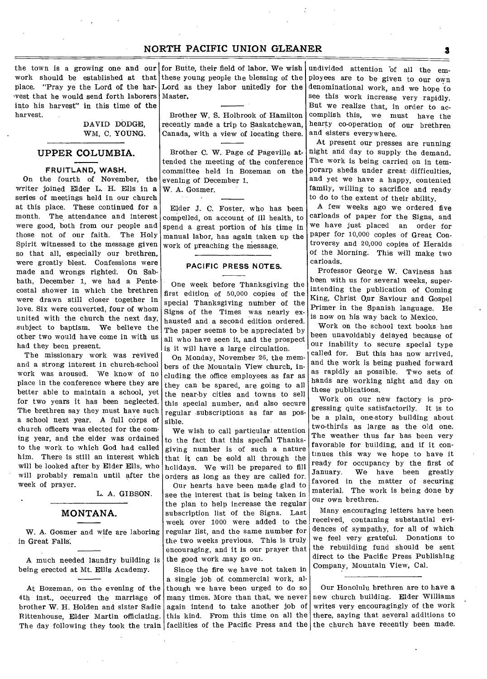the town is a growing one and our work should be established at that place. "Pray ye the Lord of the harwest that he would send forth laborers into his harvest" in this time of the harvest.

> DAVID DODGE, WM. C. YOUNG.

## **UPPER COLUMBIA.**

#### FRUITLAND, WASH.

On the fourth of November, the writer joined Elder L. H. Ells in a series of meetings held in our church at this place. These continued for a month. The attendance and interest were good, both from our people and those not of our faith. The Holy Spirit witnessed to the message given so that all, especially our brethren, were greatly blest. Confessions were made and wrongs righted. On Sabbath, December 1, we had a Pentecostal shower in which the brethren were drawn still closer together in love. Six were converted, four of whom united with the church the next day, subject to baptism. We believe the other two would have come in with us had they been present.

The missionary work was revived and a strong interest in church-school work was aroused. We know of no place in the conference where they are better able to maintain a school, yet for two years it has been neglected. The brethren say they must have such a school next year. A full corps of church officers was elected for the coming year, and the elder was ordained to the work to which God had called him. There is still an interest which will be looked after by Elder Ells, who will probably remain until after the week of prayer.

L. A. GIBSON.

# **MONTANA.**

W. A. Gosmer and wife are laboring in Great Falls.

A much needed laundry building is being erected at Mt. Ellis Academy.

At Bozeman, on the evening of the 4th inst., occurred the marriage of brother W. H. Holden and sister Sadie Rittenhouse, Elder Martin officiating. The day following they took the train facilities of the Pacific Press and the the church have recently been made.

for Butte, their field of labor. We wish these young people the blessing of the Lord as they labor unitedly for the denominational work, and we hope to Master.

Brother W. S. Holbrook of Hamilton recently made a trip to Saskatchewan, Canada, with a view of locating there.

Brother C. W. Page of Pageville attended the meeting of the conference committee held in Bozeman on the evening of December 1. W. A. Gosmer.

Elder J. C. Foster, who has been compelled, on account of ill health, to spend a great portion of his time in manual labor, has again taken up the work of preaching the message.

# **PACIFIC PRESS NOTES.**

One week before Thanksgiving the first edition of 50,000 copies of the special Thanksgiving number of the Signs of the Times was nearly exhausted and a second edition ordered. The paper seems to be appreciated by all who have seen it, and the prospect is it will have a large circulation.

On Monday, November 26, the members of the Mountain View church, including the office employees as far as they can be spared, are going to all the near-by cities and towns to sell this special number, and also secure regular subscriptions as far as possible.

We wish to call particular attention to the fact that this special Thanksgiving number is of such a nature that it can be sold all through the holidays. We will be prepared to fill orders as long as they are called for.

Our hearts have been made glad to see the interest that is being taken in the plan to help increase the regular subscription list of the Signs. Last week over 1000 were added to the regular list, and the same number for the two weeks previous. This is truly encouraging, and it is our prayer that the good work may go on.

Since the fire we have not taken in a single job o£ commercial work, although we have been urged to do so many times. More than that, we never again intend to take another job of this kind. From this time on all the

undivided attention bf all the employees are to be given to our own see this work increase very rapidly. But we realize that, in order to accomplish this, we must have the hearty co-operation of our brethren and sisters everywhere.

At present our presses are running night and day to supply the demand. The work is being carried on in temporarp sheds under great difficulties, and yet we have a happy, contented family, willing to sacrifice and ready to do to the extent of their ability.

A few weeks ago we ordered five carloads of paper for the Signs, and we have just placed an order for paper for 10,000 copies of Great Controversy and 20,000 copies of Heralds of the Morning. This will make two carloads.

Professor George W. Caviness has been with us for several weeks, superintending the publication of Coming King, Christ Our Saviour and Gospel Primer in the Spanish language. He is now on his way back to Mexico.

Work on the school text books has been unavoidably delayed because of our inability to secure special type called for. But this has now arrived, and the work is being pushed forward as rapidly as possible. Two sets of hands are working night and day on these publications.

Work on our new factory is progressing quite satisfactorily. It is to be a plain, one-story building about two-thirds as large as the old one. The weather thus far has been very favorable for building, and if it continues this way we hope to have it ready for occupancy by the first of<br>January. We have been greatly We have been greatly favored in the matter of securing material. The work is being done by our own brethren.

Many encouraging letters have been received, containing substantial evidences of sympathy, for all of which we feel very grateful. Donations to the rebuilding fund should be sent direct to the Pacific Press Publishing Company, Mountain View, Cal.

Our Honolulu brethren are to have a new church building. Elder Williams writes very encouragingly of the work there, saying that several additions to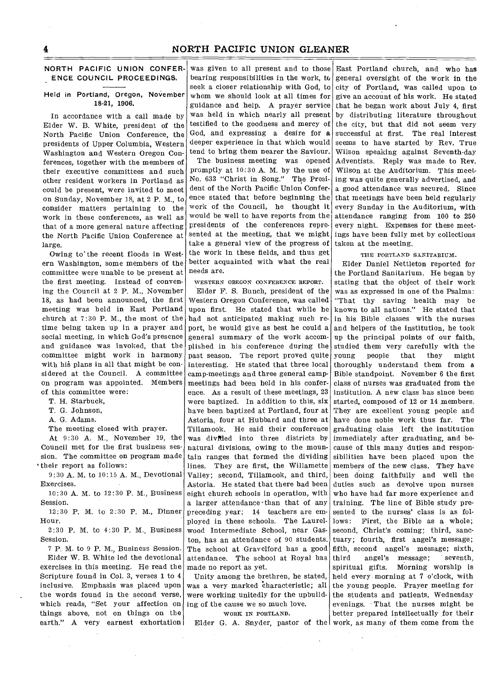# NORTH PACIFIC UNION CONFER-ENCE COUNCIL PROCEEDINGS.

#### Held in Portland, Oregon, November 18-21, 1906.

In accordance with a call made by Elder W. B. White, president of the North Pacific Union Conference, the presidents of Upper Columbia, Western Washington and Western Oregon Conferences, together with the members of their executive committees and such other resident workers in Portland as could be present, were invited to meet on Sunday, November 18, at 2 P. M., to consider matters pertaining to the work in these conferences, as well as that of a more general nature affecting the North Pacific Union Conference at large.

Owing to' the recent floods in Western Washington, some members of the committee were unable to be present at the first meeting. Instead of convening the Council at 2 P. M., November 18, as had been announced, the first meeting was held in East Portland church at 7:30 P. M., the most of the time being taken up in a prayer and social meeting, in which God's presence and guidance was invoked, that the committee might work in harmony with his plans in all that might be considered at the Council. A committee on program was appointed. Members of this committee were:

T. H. Starbuck,

T. G. Johnson,

A. G. Adams.

The meeting closed with prayer.

At 9:30 A. M., November 19, the Council met for the first business session. The committee on program made their report as follows:

9:30 A. M. to 10:15 A. M., Devotional Exercises.

10:30 A. M. to 12:30 P. M., Business Session.

12:30 P. M. to 2:30 P. M., Dinner Hour.

2:30 P. M. to 4:30 P. M., Business Session.

7 P. M. to 9 P. M., Business Session. Elder W. B. White led the devotional exercises in this meeting. He read the Scripture found in Col. 3, verses 1 to 4 inclusive. Emphasis was placed upon the words found in the second verse, which reads, "Set your affection on things above, not on things on the earth." A very earnest exhortation

was given to all present and to those bearing responsibilities in the work, to seek a closer relationship with God, to whom we should look at all times for guidance and help. A prayer service was held in which nearly all present testified to the goodness and mercy of God, and expressing a desire for a deeper experience in that which would tend to bring them nearer the Saviour.

The business meeting was opened promptly at 10:30 A. M. by the use of No. 633 "Christ in Song." The President of the North Pacific Union Conference stated that before beginning the work of the Council, he thought it would be well to have reports from the presidents of the conferences represented at the meeting, that we might take a general view of the progress of the work in these fields, and thus get better acquainted with what the real needs are.

WESTERN OREGON CONFERENCE REPORT. Elder F. S. Bunch, president of the Western Oregon Conference, was called upon first. He stated that while he had not anticipated making such report, he would give as best he could a general summary of the work accomplished in his conference during the past season. The report proved quite interesting. He stated that three local camp-meetings and three general campmeetings had been held in his conference. As a result of these meetings, 23 were baptized. In addition to this, six have been baptized at Portland, four at Astoria, four at Hubbard and three at Tillamook. He said their conference was divided into three districts by natural divisions, owing to the mountain ranges that formed the dividing lines. They are first, the Willamette Valley; second, Tillamook, and third, Astoria. He stated that there had been eight church schools in operation, with a larger attendance-than that of any preceding year; 14 teachers are employed in these schools. The Laurelwood Intermediate School, near Gaston, has an attendance of 90 students. The school at Gravelford has a good attendance. The school at Royal has made no report as yet.

Unity among the brethren, he stated, was a very marked Characteristic; all were working unitedly for the upbuilding of the cause we so much love.

#### WORK IN PORTLAND.

East Portland church, and who has general oversight of the work in the city of Portland, was called upon to give an account of his work. He stated that he began work about July 4, first by distributing literature throughout the city, but that did not seem very successful at first. The real interest seems to have started by Rev. True Wilson speaking against Seventh-day Adventists. Reply was made to Rev. Wilson at the Auditorium. This meeting was quite generally advertised, and a good attendance was secured. Since that meetings have been held regularly every Sunday in the Auditorium, with attendance ranging from 100 to 250 every night. Expenses for these meetings have been fully met by collections taken at the meeting.

#### THE PORTLAND SANITARIUM.

Elder G. A. Snyder, pastor of the work, as many of them come from the Elder Daniel Nettleton reported for the Portland Sanitarium. He began by stating that the object of their work was as expressed in one of the Psalms: "That thy saving health may be known to all nations." He stated that in his Bible classes with the nurses and helpers of the institution, he took up the principal points of our faith, studied them very carefully with the young people that they might thoroughly understand them from a Bible standpoint. November 6 the first class of nurses was graduated from the institution. A new class has since been started, composed of 12 or 14 members. They are excellent young people and have done noble work thus far. The graduating class left the institution immediately after graduating, and because of this many duties and responsibilities have been placed upon the members of the new class. They have been doing faithfully and well the duties such as devolve upon nurses who have had far more experience and training. The line of Bible study presented to the nurses' class is as follows: First, the Bible as a whole; second, Christ's coming; third, sanctuary; fourth, first angel's message; fifth, second angel's message; sixth, third angel's message; seventh, spiritual gifts. Morning worship is held every morning at 7 o'clock, with the young people. Prayer meeting for the students and patients, Wednesday evenings. That the nurses might be better prepared intellectually for their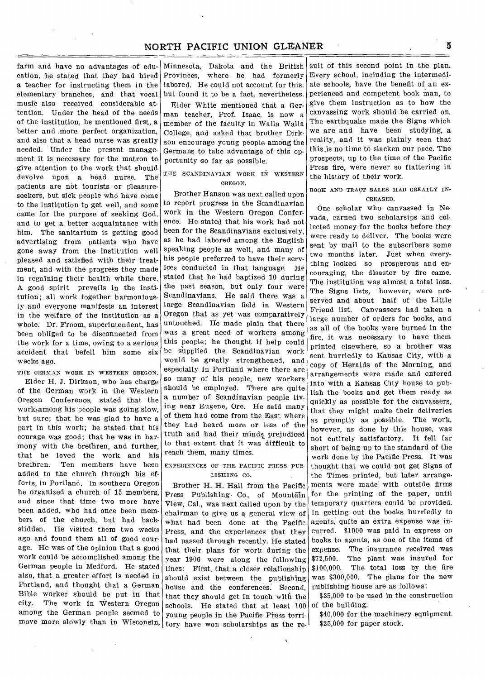cation, he stated that they had hired a teacher for instructing them in the elementary branches, and that vocal music also received considerable attention. Under the head of the needs of the institution, he mentioned first, a better and more perfect organization, and also that a head nurse was greatly needed. Under the present management it is necessary for the matron to give attention to the work that should devolve upon a head nurse. The patients are not tourists or pleasureseekers, but sick people who have come to the institution to get well, and some came for the purpose of seeking God, and to get a better acquaintance with him. The sanitarium is getting good advertising from patients who have gone away from the institution well pleased and satisfied with their treatment, and with the progress they made in regaining their health while there. A good spirit prevails in the institution; all work together harmoniously and everyone manifests an interest in the welfare of the institution as a whole. Dr. Froom, superintendent, has been obliged to be disconnected from the work for a time, owing to a serious accident that befell him some six weeks ago.

THE GERMAN WORK IN WESTERN OREGON.

Elder H. J. Dirkson, who has charge of the German work in the Western Oregon Conference, stated that the work among his people was going slow, but sure; that he was glad to have a part in this work; he stated that his courage was good; that he was in harmony with the brethren, and further, that he loved the work and his<br>brethren. Ten members have been Ten members have been added to the church through his efforts, in Portland. In southern Oregon he organized a church of 15 members, and since that time two more have been added, who had once been members of the church, but had backslidden. He visited them two weeks ago and found them all of good courage. He was of the opinion that a good work could be accomplished among the German people in Medford. He stated also, that a greater effort is needed in Portland, and thought that a German Bible worker should be put in that city. The work in Western Oregon among the German people seemed to

farm and have no advantages of edu- Minnesota, Dakota and the British Provinces, where he had formerly labored. He could not account for this, but found it to be a fact, nevertheless. Elder White mentioned that a German teacher, Prof. Isaac, is now a member of the faculty in Walla Walla College, and asked that brother Dirkson encourage ycung people among the Germans to take advantage of this opportunity so far as possible.

# THE SCANDINAVIAN WORK IN WESTERN OREGON.

Brother Hanson was next called upon to report progress in the Scandinavian work in the Western Oregon Conference. He stated that his work had not been for the Scandinavians exclusively, as he had labored among the English speaking people as well, and many of his people preferred to have their services conducted in that language. He stated that he had baptized 10 during the past season, but only four were Scandinavians. He said there was a large Scandinavian field in Western Oregon that as yet was comparatively untouched. He made plain that there was a great need of workers among this people; he thought if help could be supplied the Scandinavian work would he greatly strengthened, and especially in Portland where there are so many of his people, new workers should be employed. There are quite a number of Scandinavian people living near Eugene, Ore. He said many of them had come from the East where they had heard more or less of the truth and had their minds prejudiced to that extent that it was difficult to reach them, many times.

#### ENPERIENCES OF THE PACIFIC PRESS PUB LISHING CO.

move more slowly than in Wisconsin. tory have won scholarships as the re-Brother H. H. Hall from the Pacific Press Publishing. Co., of Mountain View, Cal., was next called upon by the chairman to give us a general view of what had been done at the Pacific Press, and the experiences that they had passed through recently. He stated that their plans for work during the year 1906 were along the following lines: First, that a closer relationship should exist between the publishing house and the conferences. Second, that they should get in touch with the schools. He stated that at least 100 young people in the Pacific Press terri-

suit of this second point in the plan. Every school, including the intermediate schools, have the benefit of an experienced and competent book man, to give them instruction as to how the canvassing work should be carried on. The earthquake made the Signs which we are and have been studying, a reality, and it was plainly seen that this .is no time to slacken our pace. The prospects, up to the time of the Pacific Press fire, were never so flattering in the history of their work.

BOOK AND TRACT SALES HAD GREATLY IN-CREASED.

One scholar who canvassed in Ne. vada, earned two scholarsips and collected money for the books before they were ready to deliver. The books were sent by mail to the subscribers some two months later. Just when everything looked so prosperous and encouraging, the disaster by fire came. The institution was almost a total loss.. The Signs lists, however, were preserved and about half of the Little Friend list. Canvassers had taken a large number of orders for books, and as all of the books were burned in the fire, it was necessary to have them printed elsewhere, so a brother was sent hurriedly to Kansas City, with a copy of Heralds of the Morning, and arrangements were made and entered into with a Kansas City house to publish the books and get them ready as quickly as possible for the canvassers, that they might make their deliveries as promptly as possible. The work, however, as done by this house, was not entirely satisfactory. It fell far short of being up to the standard of the work done by the Pacific Press. It was thought that we could not get Signs of the Times printed, but later arrangements were made with outside firms for the printing of the paper, until temporary quarters could be provided. In getting out the books hurriedly to agents, quite an extra expense was incurred. \$1000 was paid in express on books to agents, as one of the items of expense. The insurance received was \$72,500. The plant was insured for \$100,000. The total loss by the fire was \$300,000. The plans for the new publishing house are as follows:

\$25,000 to be used in the construction of the building.

\$40,000 for the machinery equipment. \$25,000 for paper stock.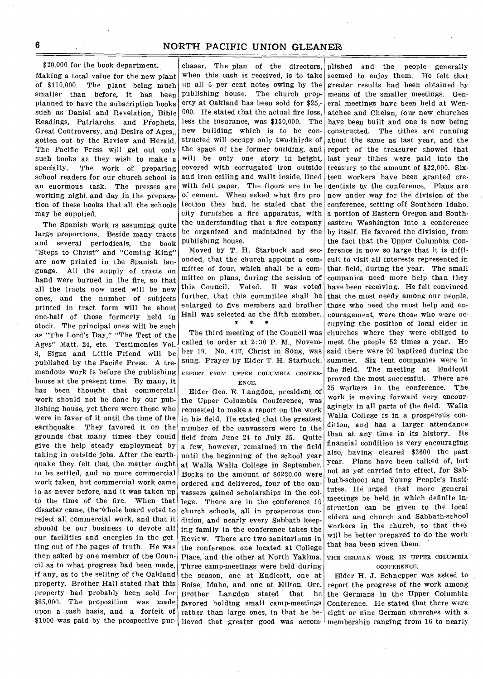\$20,000 for the book department.

Making a total value for the new plant of \$110,000. The plant being much smaller than before, it has been planned to have the subscription books such as Daniel and Revelation, Bible Readings, Patriarchs and Piophets, Great Controversy, and Desire of Ages. gotten out by the Review and Herald. The Pacific Press will get out only such books as they wish to make a specialty. The work of preparing school readers for our church school is an enormous task. The presses are working night and day in the preparation of these books that all the schools may be supplied.

The Spanish work is assuming quite large proportions. Beside many tracts and several periodicals, the book "Steps to Christ" and "Coming King" are now printed in the Spanish language. All the supply of tracts on hand were burned in the fire, so that all the tracts now used will be new ones, and the number of subjects printed in tract form will be about one-half of those formerly held in stock. The principal ones will be such as "The Lord's Day," "The Test of the Ages" Matt. 24, etc. Testimonies Vol. 8, Signs and Little Friend will be published by the Pacific Press. A tremendous work is before the publishing house at the present time. By many, it has been thought that commercial work should not be done by our publishing house, yet there were those who were in favor of it until the time of the earthquake. They favored it on the grounds that many times they could give the help steady employment by taking in outside jobs. After the earthquake they felt that the matter ought to be settled, and no more commercial work taken, but commercial work came in as never before, and it was taken up to the time of the fire. When that disaster came, the-Whole board voted to reject all commercial work, and that it should be our business to devote all our facilities and energies in the getting out of the pages of truth. He was then asked by one member of the Council as to what progress had been made, if any, as to the selling of the Oakland property. Brother Hall stated that this property had probably been sold for \$65,000. The proposition was made upon a cash basis, and a forfeit of \$1000 was paid by the prospective pur- lieved that greater good was accom-

chaser. The plan of the directors, when this cash is received, is to take up all 5 per cent notes owing by the publishing house. The church property at Oakland has been sold for \$25,- 000. He stated that the actual fire loss, less the insurance, was \$150,000. The new building which is to be constructed will occupy only two-thirds of the space of the former building, and will be only one story in height, covered with corrugated iron outside and iron ceiling and walls inside, lined with felt paper. The floors are to be of cement. When asked what fire pro tection they had, he stated that the city furnishes a fire apparatus, with the understanding that a fire company be organized and maintained by the publishing house.

Moved by T. H. Starbuck and seconded, that the church appoint a committee of four, which shall be a committee on plans, during the session of this Council. Voted. It was voted further, that this committee shall be enlarged to five members and brother Hall was selected as the fifth member.

The third meeting of the Council was called to order at 2:30 P. M., November 19. No. 417, Christ in Song, was sung. Prayer by Elder T. H. Starbuck. REPORT FROM UPPER COLUMBIA CONFER-

ENCE. Elder Geo. E. Langdon, president of the Upper Columbia Conference, was requested to make a report on the work in his field. He stated that the greatest number of the canvassers were in the field from June 24 to July 25. Quite a few, however, remained In the field until the beginning of the school year at Walla Walla College in September. Books to the amount of \$6220.00 were ordered and delivered, four of the canvassers gained scholarships in the college. There are in the conference 10 church schools, all in prosperous condition, and nearly every Sabbath keeping family in the conference takes the Review. There are two sanitariums in the conference, one located at College Place, and the other at North Yakima. Three camp-meetings were held during the season, one at Endicott, one at Boise, Idaho, and one at Milton, Ore. Brdther Langdon stated that he favored holding small camp-meetings rather than large ones, in that he be-

plished and the people generally seemed to enjoy them. He felt that greater results had been obtained by means of the smaller meetings. General meetings have been held at Wenatchee and Chelan, four new churches have been built and one is now being constructed. The tithes are running about the same as last year, and the report of the treasurer showed that last year tithes were paid into the treasury to the amount of \$22,000. Sixteen workers have been granted credentials by the conference. Plans are now under way for the division of the conference, setting off Southern Idaho, a portion of Eastern Oregon and Southeastern Washington into a conference by itself. He favored the division, from the fact that the Upper Columbia Conference is now so large that it is difficult to visit all interests represented in that field, during the year. The small companies need more help than they have been receiving. He felt convinced that the most needy among our people, those who need the most help and encouragement, were those who were occupying the position of local elder in churches where they were obliged to meet the people 52 times a year. He said there were 90 baptized during the summer. Six tent companies were in the field. The meeting at Endicott proved the most successful. There are 25 workers in the conference. The work is moving forward very encouragingly in all parts of the field. Walla Walla College is in a prosperous condition, and has a larger attendance than at any time in its history. Its financial condition is very encouraging also, having cleared \$2600 the past year. Plans have been talked of, but not as yet carried into effect, for Sabbath-school and Young People's Institutes. He urged that more general meetings be held in which definite instruction can be given to the local elders and church and Sabbath-school workers in the church, so that they will be better prepared to do the work that has been given them.

THE GERMAN WORK IN UPPER COLUMBIA CONFERENCE.

Elder H. J. Schnepper was asked to report the progress of the work among the Germans in the Upper Columbia Conference. He stated that there were eight or nine German churches with a membership ranging from 16 to nearly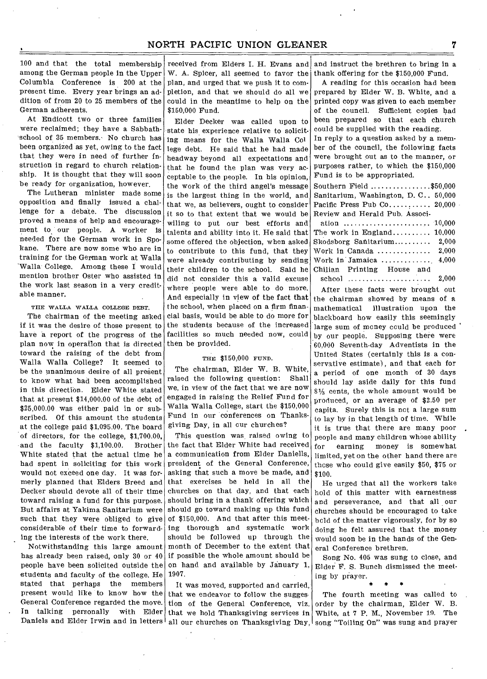100 and that the total membership received from Elders I. H. Evans and and instruct the brethren to bring in a among the German people in the Upper Columbia Conference is 200 at the present time. Every year brings an addition of from 20 to 25 members of the German adherents.

At Endicott two or three families were reclaimed; they have a Sabbathschool of 35 members.• No church has been organized as yet, owing to the fact that they were in need of further instruction in regard to church relation. ship. It is thought that they will soon be ready for organization, however.

The Lutheran minister made some opposition and finally issued a challenge for a debate. The discussion proved a means of help and encouragement to our people. A worker is needed for the German work in Spokane. There are now some who are in training for the German work at Walla 'Walla College. Among these I would mention brother Oster who assisted in the work last season in a very creditable manner.

#### THE WALLA WALLA COLLEGE DEBT.

The chairman of the meeting asked if it was the desire of those present to have a report of the progress of the plan now in operation that is directed toward the raising of the debt from Walla Walla College? It seemed to be the unanimous desire of all present to know what had been accomplished in this direction. Elder White stated that at present \$14,000.00 of the debt of \$25,000.00 was either paid in or subscribed. Of this amount the students at the college paid \$1,095.00. The board of directors, for the college, \$1,700.00, and the faculty \$1,100.00. Brother White stated that the actual time he had spent in soliciting for this work would not exceed one day. It was formerly planned that Elders Breed and Decker should devote all of their time toward raising a fund for this purpose. But affairs at Yakima Sanitarium were such that they were obliged to give considerable of their time to forwarding the interests of the work there.

Notwithstanding this large amount has already been raised, only 30 or 40 people have been solicited outside the students and faculty of the college. He stated that perhaps the members present would like to know how the General Conference regarded the move. In talking personally with Elder Daniels and Elder Irwin and in letters

W. A. Spicer, all seemed to favor the plan, and urged that we push it to completion, and that we should do all we could in the meantime to help on the \$150,000 Fund.

Elder Decker was called upon to state his experience relative to soliciting means for the Walla Walla Col lege debt. He said that he had made headway beyond all expectations and that he found the plan was very acceptable to the people. In his opinion, the work of the third angel's message is the largest thing in the world, and that we, as believers, ought to consider it so to that extent that we would be wiling to put our best efforts and talents and ability into it. He said that some offered the objection, when asked to contribute to this fund, that they were already contributing by sending their children to the school. Said he did not consider this a valid excuse where people were able to do more. And especially in view of the fact that the school, when placed on a firm financial basis, would be able to do more for the students because of the increased facilities so much needed now, could then be provided.

#### THE \$150,000 FUND.

The chairman, Elder W. B. White, raised the following question: Shall we, in view of the fact that we are now engaged in raising the Relief Fund for Walla Walla College, start the \$150,000 Fund in our conferences on Thanksgiving Day, in all our churches?

This question was raised owing to the fact that Elder White had received a communication from Elder Daniells, president of the General Conference, asking that such a move be made, and that exercises be held in all the churches on that day, and that each should bring in a thank offering which should go toward making up this fund of \$150,000. And that after this meeting thorough and systematic work should be followed up through the month of December to the extent that if possible the whole amount should be on hand and available by January 1, 1907.

It was moved, supported and carried. that we endeavor to follow the sugges tion of the General Conference, viz. that we hold Thanksgiving services in

thank offering for the \$150,000 Fund.

A reading for this occasion had been prepared by Elder W. B. White, and a printed copy was given to each member of the council. sufficient copies had been prepared so that each church could be supplied with the reading.

In reply to a question asked by a member of the council, the following facts were brought out as to the manner, or purposes rather, to which the \$150,000 Fund is to be appropriated.

| $\texttt{Southern}\ \texttt{Field}\ \dots\dots\dots\dots\dots\$ |
|-----------------------------------------------------------------|
| Sanitarium, Washington, D.C., 50,000                            |
| Pacific Press Pub $Co$ 20,000                                   |
| Review and Herald Pub. Associ-                                  |
|                                                                 |
| The work in England $10,000$                                    |
| $Skodsborg$ Sanitarium 2.000                                    |
| Work in Canada $2,000$                                          |
| Work in Jamaica $4,000$                                         |
| Chilian Printing House and                                      |

2,000 After these facts were brought out school

the chairman showed by means of a mathematical illustration upon the blackboard how easily this seemingly large sum of money could be produced by our people. Supposing there were 60,000 Seventh-day Adventists in the United States (certainly this is a conservative estimate), and that each for a period of one month of 30 days should lay aside daily for this fund 81/3 cents, the whole amount would be produced, or an average of \$2.50 per capita. Surely this is not a large sum to lay by in that length of time. While it is true that there are many poor people and many children whose ability for earning money is somewhat limited, yet on the other hand there are those who could give easily \$50, \$75 or \$100.

He urged that all the workers take hold of this matter with earnestness and perseverance, and that all our churches should be encouraged to take hold of the matter vigorously, for by so doing he felt assured that the money would soon be in the hands of the General Conference brethren.

Song No. 405 was sung to close, and Elder F. S. Bunch dismissed the meeting by prayer. \* \* \*

all our churches on Thanksgiving Day,  $|$  song "Toiling On" was sung and prayer The fourth meeting was called to order by the chairman, Elder W. B. White, at 7 P. M., November 19. The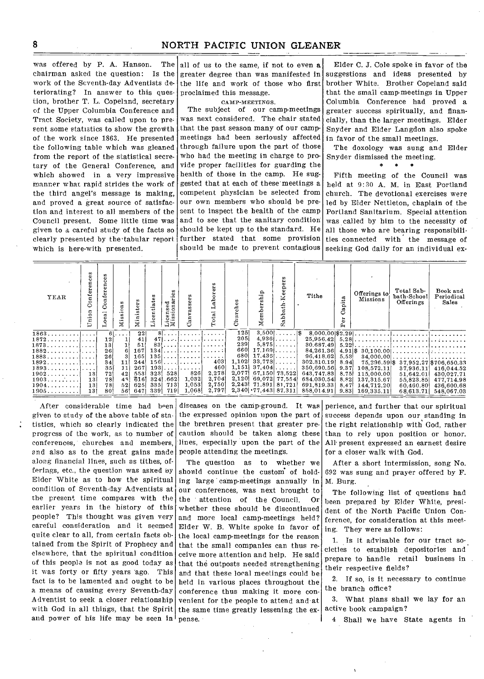was offered by P. A. Hanson. The chairman asked the question: Is the work of the Seventh-day Adventists deteriorating? In answer to this question, brother T. L. Copeland, secretary of the Upper Columbia Conference and Tract Society, was called upon to present some statistics to show the growth of the work since 1863. He presented the following table which was gleaned from the report of the statistical secretary of the General Conference, and which showed in a very impressive manner what rapid strides the work of the third angel's message is making, and proved a great source of satisfaction and interest to all members of the Council present. Some little time was given to a careful study of the facts so clearly presented by the'tabular report Which is here-with presented.

all of us to the same, if not to even a greater degree than was manifested in the life and work of those who first proclaimed this message.

CAMP-MEETINGS.

The subject of our camp-meetings was next considered. The chair stated that the past season many of our campmeetings had been seriously affected through failure upon the part of those who had the meeting in charge to provide proper facilities for guarding the health of those in the camp. He suggested that at each of these meetings a competent physician be selected from our own members who should be present to inspect the health of the camp and to see that the sanitary condition should be kept up to the standard. He further stated that some provision should be made to prevent contagious

Elder C. J. Cole spoke in favor of the suggestions and ideas presented by brother White. Brother Copeland said that the small camp-meetings in Upper Columbia Conference had proved a greater success spiritually, and financially, than the larger meetings. Elder Snyder and Elder Langdon also spoke in favor of the small meetings.

The doxology was sung and Elder Snyder dismissed the meeting.<br> $*$   $*$   $*$ 

Fifth meeting of the Council was held at 9:30 A. M. in East Portland church. The devotional exercises were led by Elder Nettleton, chaplain of the Portland Sanitarium. Special attention was called by him to the necessity of all those who are bearing responsibilities connected with the message of seeking God daily for an individual ex-

| YEAR           | w<br>g<br>Φ<br>Conf<br>등 | ပ္ပ<br>Conferen<br>$\overline{\mathbf{a}}$ | Σ   | Ministers | 3    | w<br>$\omega$<br>icensed<br>issionari<br>Ξă | £.<br>قة                                     | ≏<br>ಡ<br>$\vec{a}$<br>$\circ$ | w<br>Ф<br>ᅺ<br>e۱.<br>ర్ | ≏<br><br>≖                                           | ٥<br>ω<br>œ<br>€<br>ء<br>≏<br>U. | Tithe            | pita  | Offerings to<br>Missions | Total Sab<br>bath-School<br>Offerings | Book and<br>Periodical<br>Sales |
|----------------|--------------------------|--------------------------------------------|-----|-----------|------|---------------------------------------------|----------------------------------------------|--------------------------------|--------------------------|------------------------------------------------------|----------------------------------|------------------|-------|--------------------------|---------------------------------------|---------------------------------|
| 1863           |                          | 61.                                        |     | 22        |      |                                             |                                              |                                | 1251                     |                                                      | $3,500$                          | 8.000.00 \\$2.29 |       |                          |                                       |                                 |
| 1872           |                          | 12                                         |     | 41        |      |                                             | $471$                                        |                                | 205                      |                                                      | $4,936$                          | 25,956.42        |       |                          |                                       |                                 |
| 1873           |                          | 13 <sup>1</sup>                            |     | 51        |      |                                             | $83! \ldots 1! \ldots 1! \ldots 1! \ldots 1$ |                                | 2391                     |                                                      | $5,875$                          | 30.687.49        | 5.221 |                          |                                       |                                 |
| $1882 \ldots $ |                          | 26                                         |     | 167       | 134  |                                             | . 1. 1.                                      |                                | 6601                     | $17.169$                                             |                                  | 84,261.36        |       |                          |                                       |                                 |
|                |                          | 261                                        |     | 165       |      |                                             | $135$                                        |                                |                          | $680$   17.436                                       |                                  | 96,418.62        | 5.53  |                          |                                       |                                 |
| 1892           |                          | 34                                         | 11  | 244       |      |                                             | $156$                                        | 403                            | 1,102                    | $33,773$                                             |                                  | 302,310.19       | 8.94  |                          | 75.296.59 \$37,952.27 \$706,650.33    |                                 |
| 1893           |                          | 35 <sub>1</sub>                            | 11  | 267       | 193  |                                             | . 1                                          | 460                            |                          | $1,151$ 37,404.                                      |                                  | 350,690.56       | 9.37  | 108.572.11               | 37,936.11                             | 416.044.52                      |
| 1902           | 13                       | 72                                         | 42  | 5531      | 3231 | 528                                         | 826                                          | 2.278                          | 2,077                    | 67,150 73.522                                        |                                  | 643.747.83       | 8.751 | 115,000.00               | 51,642.01                             | 430,027.71                      |
| 1903           | 13                       | 78                                         | 48! | 616       | 324  | .662                                        | 1,032                                        | 2.704<br>2,750                 | 2,120                    | 69,072 77,554                                        |                                  | 684.030.54       | 8.821 | 137, 315, 67             | 55,823.85                             | 477,714.98                      |
| 1904           | 13 <sup>1</sup>          | 78                                         | 52  | 625       | 335  | 7131                                        | 1.053                                        |                                |                          | 2,243 71,891 81,721<br>$2,340$ $\cdot 77,443$ 87.311 |                                  | 691,819.33       | 8.47  | 144,712.20               | 60.460.80                             | 436,600.68                      |
| 1905           | 131                      | 80                                         | 56! | 6471      | 3391 | 719                                         | 1.068                                        | 2,797                          |                          |                                                      |                                  | 858,014.91       | 9.83  | 169.335.11               | 68,613.71                             | 548,067.03                      |

After considerable time had been given to study of the above table of statistics, which so clearly indicated the progress of the work, as to number of conferences, churches and members, end also as to the great gains made along financial lines, such as tithes, offerings, etc., the question was asked by Elder White as to how the spiritual condition of Seventh-day Adventists at the present time compares with the earlier years in the history of this people? This thought was given very careful consideration and it seemed quite clear to all, from certain facts obtained from the Spirit of Prophecy and elsewhere, that the spiritual condition of this people is not as good today as it was forty or fifty years 'ago. This fact is to be lamented and ought to be a means of causing every Seventh-day Adventist to seek a closer relationship with God in all things, that the Spirit the same time greatly lessening the exand power of his life may be seen  $\ln^{\dagger}$  pense.

the brethren present that greater prelines, especially upon the part of the people attending the meetings.

The question as to whether we should continue the custom of holding large camp-meetings annually in our conferences, was next brought to the attention of the Council. Or whether these should be discontinued and more local camp-meetings held? Elder W. B. White spoke in favor of the local camp-meetings for the reason that the small companies can thus receive more attention and help. He said that the outposts needed strengthening and that these local meetings could be held in various places throughout the conference thus making it more convenient for tbe people to attend and at

diseases on the camp-ground. It was perience, and further that our spiritual the expressed opinion upon the part of success depends upon our standing in caution should be taken along these than to rely upon position or honor. the right relationship with God, rather All-present expressed an earnest desire for a closer walk with God.

> After a short intermission, song No. 692 was sung and prayer offered by F. M. Burg.

> The following list of questions had been prepared by Elder White, president of the North Pacific Union Conference, for consideration at this meeting. They were as follows:

1. Is it advisable for our tract societies to establish depositories and prepare to handle retail business in their respective fields?

2. If so, is it necessary to continue the branch office?

3. What plans shall we lay for an active book campaign?

4 Shall we have State agents in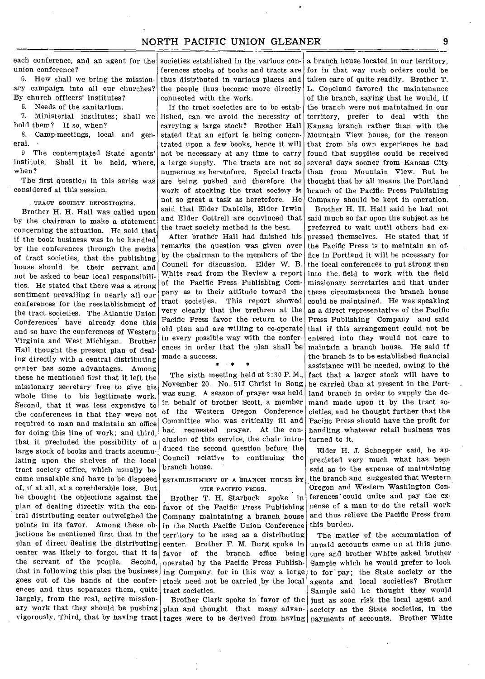each conference, and an agent for the union conference?

5. How shall we bring the missionary campaign into all our churches? By church officers' institutes?

6. Needs of the sanitarium.

7. Ministerial institutes; shall we hold them? If so, when?

8. Camp-meetings, local and general.

9 The contemplated State agents' institute. Shall it be held, where, when?

The first question in this series was considered at this session.

TRACT SOCIETY DEPOSITORIES.

Brother H. H. Hall was called upon by the chairman to make a statement concerning the situation. He said that if the book business was to be handled by the conferences through the media of tract societies, that the publishing house should be their servant and not be asked to bear local responsibilities. He stated that there was a strong sentiment prevailing in nearly all our conferences for the reestablishment of the tract societies. The Atlantic Union Conferences have already done this and so have the conferences of Western Virginia and West Michigan. Brother Hall thought the present plan of dealing directly with a central distributing center has some advantages. Among these he mentioned first that it left the missionary secretary free to give his whole time to his legitimate work. Second, that it was less expensive to the conferences in that they were not required to man and maintain an office for doing this line of work; and third, that it precluded the possibility of a large stock of books and tracts accumulating upon the shelves of the local tract society office, which usually become unsalable and have to be disposed of, if at all, at a considerable loss. But he thought the objections against the plan of dealing directly with the central distributing center outweighed the points in its favor. Among these objections he mentioned first that in the plan of direct dealing the distributing center was likely to forget that it is the servant of the people. Second, that in following this plan the business goes out of the hands of the conferences and thus separates them, quite largely, from the real, active missionary work that they should be pushing plan and thought that many advan-

societies established in the various conferences stocks of books and tracts are for in that way rush orders could be thus distributed in various places and the people thus become more directly connected with the work.

If the tract societies are to be established, can we avoid the necessity of carrying a large stock? Brother Hall stated that an effort is being concentrated upon a few books, hence it will not be necessary at any time to carry a large supply. The tracts are not so numerous as heretofore. Special tracts are being pushed and therefore the work of stocking the tract society is not so great a task as heretofore. He said that Elder Daniells, Elder Irwin and Elder Cottrell are convinced that the tract society method is the best.

After brother Hall had finished his remarks the question was given over by the chairman to the members of the Council for discussion. Elder W. B. White read from the Review a report of the Pacific Press Publishing Company as to their attitude toward the tract societies. This report showed very clearly that the brethren at the Pacific Press favor the return to the old plan and are willing to co-operate that if this arrangement could not be in every possible way with the conferences in order that the plan shall be made a success. .<br>\* \* \*

The sixth meeting held at 2:30 P. M., November 20. No. 517 Christ in Song was sung. A season of prayer was held in behalf of brother Scott, a member of the Western Oregon Conference Committee who was critically ill and had requested prayer. At the conclusion of this service, the chair introduced the second question before the Council relative to continuing the branch house.

ESTABLISHMENT OF A BRANCH HOUSE BY THE PACIFIC PRESS.

Brother T. H. Starbuck spoke in favor of the Pacific Press Publishing Company maintaining a branch house in the North Pacific Union Conference territory to be used as a distributing center. Brother F. M. Burg spoke in favor of the branch office being operated by the Pacific Press Publishing Company, for in this way a large stock need not be carried by the local tract societies.

a branch house located in our territory, taken care of quite readily. Brother T. L. Copeland favored the maintenance of the branch, saying that he would, if the branch were not maintained in our territory, prefer to deal with the Kansas branch rather than with the Mountain View house, for the reason that from his own experience he had found that supplies could be received several days sooner from Kansas City than from Mountain View. But he thought that by all means the Portland branch of the Pacific Press Publishing Company should he kept in operation.

Brother H. H. Hall said he had not said much so far upon the subject as he preferred to wait until others had expressed themselves. He stated that if the Pacific Press is to maintain an office in Portland it will be necessary for the local conferences to put strong men into the field to work with the field missionary secretaries and that under these circumstances the branch house could be maintained. He was speaking as a direct representative of the Pacific Press Publishing Company and said entered into they would not care to maintain a branch house. He said if the branch is to be established financial assistance will be needed, owing to the fact that a larger stock will have to be carried than at present in the Portland branch in order to supply the demand made upon it by the tract societies, and he thought further that the Pacific Press should have the profit for handling whatever retail business was turned to it.

Elder H. J. Schnepper said, he appreciated very much what has been said as to the expense of maintaining the branch and suggested that Western Oregon and Western Washington Conferences could unite and pay the expense of a man to do the retail work and thus relieve the Pacific Press from this burden.

vigorously. Third, that by having tract  $\lceil \frac{t_{\text{ages}}}{t_{\text{ages}}} \rceil$  were to be derived from having  $\lceil \frac{t_{\text{p}}}{t_{\text{Bayments}}} \rceil$  accounts. Brother White Brother Clark spoke in favor of the just as soon risk the local agent and The matter of the accumulation of unpaid accounts came up at this juncture and brother White asked brother Sample which he would prefer to look to for pay; the State society or the agents and local societies? Brother Sample said he thought they would society as the State societies, in the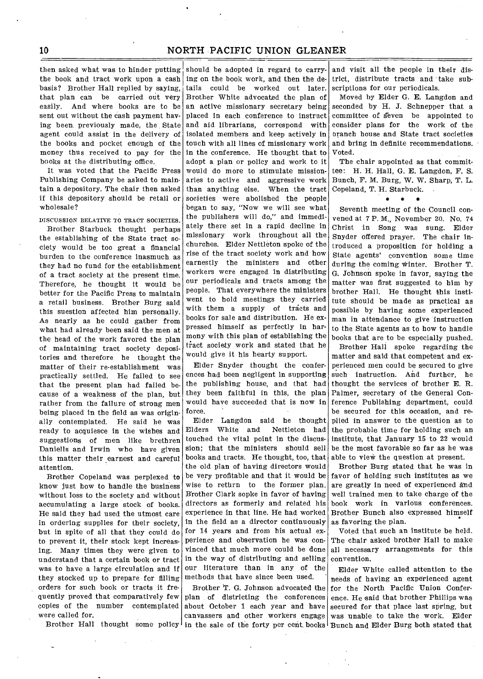then asked what was to hinder putting should be adopted in regard to carrythe book and tract work upon a cash basis? Brother Hall replied by saying, that plan can be carried out very easily. And where books are to be sent out without the cash payment having been previously made, the. State agent could assist in the delivery of the books and pocket enough of the money thus received to pay for the books at the distributing office.

It was voted that the Pacific Press Publishing Company be asked to maintain a depository. The chair then asked if this depository should be retail or wholesale?

DISCUSSION RELATIVE TO TRACT SOCIETIES.

Brother Starbuck thought perhaps the establishing of the State tract society would be too great a financial burden to the conference inasmuch as they had no fund for the establishment of a tract society at the present time. Therefore, he thought it would be better for the Pacific Press to maintain a retail business. Brother Burg said this suestion affected him personally. As nearly as he could gather from what had already been said the men at the head of the work favored the plan of maintaining tract society depositories and therefore he thought the matter of their re-establishment was practically settled. He failed to see that the present plan had failed because of a weakness of the plan, but rather from the failure of strong men being placed in the field as was originally contemplated. He said he was ready to acquiesce in the wishes and suggestions of men like brethren Daniells and Irwin who have given this matter their earnest and careful attention.

Brother Copeland was perplexed to know just how to handle the business without loss to the society and without accumulating a large stock of books. He said they had used the utmost care in ordering supplies for their society, but in spite of all that they could do to prevent it, their stock kept increasing. Many times they were given to understand that a certain book or tract was to have a large circulation and if they stocked up to prepare for filling orders for such book or tracts it frequently proved that comparatively few copies of the number contemplated were called for.

ing on the book work, and then the details could be worked out later. Brother White advocated the plan of an active missionary secretary being placed in each conference to instruct and aid librarians, correspond with isolated members and keep actively in touch with all lines of missionary work in the conference. He thought that to adopt a plan or policy and work to it would do more to stimulate missionaries to active and aggressive work than anything else. When the tract societies were abolished the people began to say, "Now we will see what the publishers will do," and immediately there set in a rapid decline in missionary work throughout all the churches. Elder Nettleton spoke of the rise of the tract society work and how earnestly the ministers and other workers were engaged in distributing our periodicals and tracts among the people. That everywhere the ministers went to hold meetings they carried with them a supply of tracts and books for sale and distribution. He expressed himself as perfectly in harmony with this plan of establishing the tract society work and stated that he would give it his hearty support.

Elder Snyder thought the conferences had been negligent in supporting the publishing house, and that had they been faithful in this, the plan would have succeeded that is now in force.

Elder Langdon said he thought Elders White and Nettleton had touched the vital point in the discus. sion; that the ministers should sell books and tracts. He thought, too, that the old plan of having directors would be very profitable and that it would be wise to return to the former plan. Brother Clark sopke in favor of having directors as formerly and related his experience in that line. He had worked in the field as a director continuously for 14 years and from his actual experience and observation he was convinced that much more could be done in the way of distributing and selling our literature than in any of the methods that have since been used.

Brother T. G. Johnson advocated the plan of districting the conferences about October 1 each year and have canvassers and other workers engage

and visit all the people in their district, distribute tracts and take subscriptions for our periodicals.

Moved by Elder G. E. Langdon and seconded by H. J. Schnepper that a committee of seven be appointed to consider plans for the work of the branch house and State tract societies and bring in definite recommendations. Voted.

The chair appointed as that committee: H. H. Hall, G. E. Langdon, F. S. Bunch, F. M. Burg, W. W. Sharp, T. L. Copeland, T. H. Starbuck.<br>\* \* \*

Seventh meeting of the Council convened at 7 P. M., November 20. No. 74 Christ in Song was sung. Elder Snyder offered prayer. The chair introduced a proposition for holding a State agents' convention some time during the coming Winter. Brother T. G. Johnson spoke in favor, saying the matter was first suggested to him by brother Hall. He thought this institute should be made as practical as possible by having some experienced man in attendance to give instruction to the State agents as to how to handle books that are to be especially pushed.

Brother Hall spoke regarding the matter and said that competent and experienced men could be secured to give such instruction. And further, he thought the services of brother E. R. Palmer, secretary of the General Conference Publishing department, could be secured for this occasion, and replied in answer to the question as to the probable time for holding such an institute, that January 15 to 22 would be the most favorable so far as he was able to view the question at present.

Brother Burg stated that he was in favor of holding such institutes as we are greatly in need of experienced a`nd well trained men to take charge of the book work in various conferences. Brother Bunch also expressed himself as favoring the plan.

Voted that such an institute be held. The chair asked brother Hall to make all necessary arrangements for this convention.

Brother Hall thought some policy in the sale of the forty per cent books Bunch and Elder Burg both stated that Elder White called attention to the needs of having an experienced agent for the North Pacific Union Conference. He said that brother Phillips was secured for that place last spring, but was unable to take the work. Elder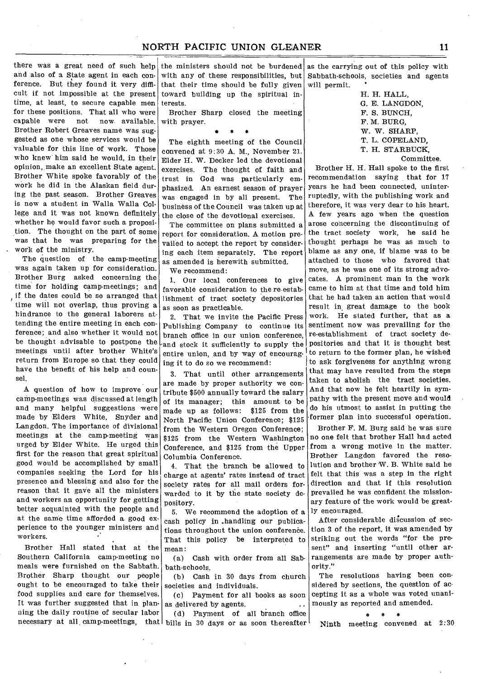there was a great need of such help and also of a State agent in each conference. But they found it very difficult if not impossible at the present time, at least, to secure capable men for these positions. That all who were<br>capable were not now available not now available. Brother Robert Greaves name was suggested as one whose services would be valuable for this line of work. Those who knew him said he would, in their opinion, make an excellent State agent. Brother White spoke favorably of the work he did in the Alaskan field during the past season. Brother Greaves is now a student in Walla Walla College and it was not known definitely whether he would favor such a proposition. The thought on the part of some was that he was preparing for the work of the ministry.

The question of the camp-meeting was again taken up for consideration. Brother Burg asked concerning the time for holding camp-meetings; and if the dates could be so arranged that time will not overlap, thus proving a hindrance to the general laborers attending the entire meeting in each conference; and also whether it would not be thought advisable to postpone the meetings until after brother White's return from Europe so that they could have the benefit of his help and counsel.

A question of how to improve our camp-meetings was discussed at length and many helpful suggestions were made by Elders White, Snyder and Langdon. The importance of divisional meetings at the camp-meeting was urged by Elder White. He urged this first for the reason that great spiritual good would be accomplished by small companies seeking the Lord for his presence and blessing and also for the reason that it gave all the ministers and workers an opportunity for getting better acquainted with the people and at the same time afforded a good experience to the younger ministers and workers.

Brother Hall stated that at the Southern California camp-meeting no meals were furnished on the Sabbath. Brother Sharp thought our people ought to be encouraged to take their food supplies and care for themselves. It was further suggested that in planning the daily routine of secular labor

the ministers should not be burdened as the carrying out of this policy with with any of these responsibilities, but that their time should be fully given toward building up the spiritual interests.

Brother Sharp closed the meeting with prayer. s \* \*

The eighth meeting of the Council convened at 9:30 A. M., November 21. Elder H. W. Decker led the devotional exercises. The thought of faith and trust in God was particularly emphasized. An earnest season of prayer was engaged in by all present. The business of the Council was taken up at the close of the devotional exercises.

The committee on plans submitted a report for consideration. A motion prevailed to accept the report by considering each item separately. The report as amended is herewith submitted.

We recommend:

1. Our local conferences to give favorable consideration to the re-establishment of tract society depositories as soon as practicable.

2. That we invite the Pacific Press Publishing Company to continue its branch office in our union conference, -and stock it sufficiently to supply the entire union, and by way of encouraging it to do so we recommend:

9. That until other arrangements are made by proper authority we contribute \$500 annually toward the salary of its manager; this amount to be made up as follows: \$125 from the North Pacific Union Conference; \$125 from the Western Oregon Conference; \$125 from the Western Washington Conference, and \$125 from the Upper Columbia Conference.

4. That the branch be allowed to charge at agents' rates instead of tract society rates for all mail orders forwarded to it by the state society depository.

5. We recommend the adoption of a cash policy in .handling our publications throughout the union conference. That this policy be interpreted to mean:

(a) Cash with order from all Sabbath-schools.

(b) Cash in 30 days from church societies and individuals.

(c) Payment for all books as soon as delivered by agents.

necessary at all camp-meetings, that bills in 30 days or as soon thereafter (d) Payment of all branch office

Sabbath-schools, societies and agents<br>will permit.

H. H. HALL, G. E. LANGDON, F. S. BUNCH, F. M. BURG, W. W. SHARP, T. L. COPELAND, T. H. STARBUCK, Committee.

Brother H. H. Hall spoke to the first recommendation saying that for 17 years he had been connected, uninterruptedly, with the publishing work and therefore, it was very dear to his heart. A few years ago when the question arose concerning the discontinuing of the tract society work, he said he thought perhaps he was as much to blame as any one, if blame was to be attached to those who favored that move, as he was one of its strong advocates. A prominent man in the work came to him at that time and told him that he had taken an action that would result in great damage to the book work. He stated further, that as a sentiment now was prevailing for the re-establishment of tract society depositories and that it is thought best to return to the former plan, he wished to ask forgiveness for anything wrong that may have resulted from the steps taken to abolish the tract societies. And that now he felt heartily in sympathy with the present move and would do his utmost to assist in putting the former plan into successful operation.

Brother F. M. Burg said he was sure no one felt that brother Hall had acted from a wrong motive in the matter. Brother Langdon favored the resolution and brother W. B. White said he felt that this was a step in the right direction and that if this resolution prevailed he was confident the missionary feature of the work would be greatly encouraged.

After considerable discussion of section 3 of the report, it was amended by striking out the words "for the present" and inserting "until other arrangements are made by proper authority."

The resolutions having been considered by sections, the question of accepting it as a whole was voted unanimously as reported and amended.<br>  $*$  \* \*

Ninth meeting convened at 2:30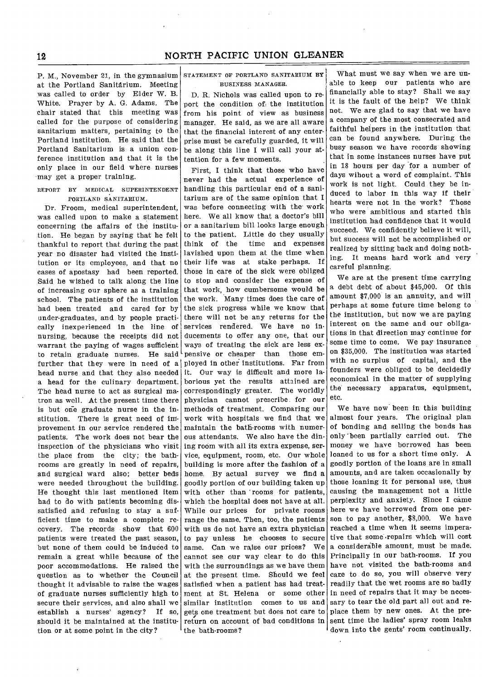P. M., November 21, in the gymnasium STATEMENT OF PORTLAND SANITARIUM BY at the Portland Sanitarium. Meeting was called to order by Elder W. B. White. Prayer by A. G. Adams. The chair stated that this meeting was called for the purpose of considering sanitarium matters, pertaining to the Portland institution. He said that the Portland Sanitarium is a union conference institution and that it is the only place in our field where nurses may get a proper training.

REPORT BY MEDICAL SUPERINTENDENT PORTLAND SANITARIUM.

Dr. Froom, medical superintendent, was called upon to make a statement concerning the affairs of the institution. He began by saying that he felt thankful to report that during the past year no disaster had visited the institution or its employees, and that no cases of apostasy had been reported. Said he wished to talk along the line of increasing our sphere as a training school. The patients of the institution had been treated and cared for by under-graduates, and by people practically inexperienced in the line of nursing, because the receipts did not warrant the paying of wages sufficient to retain graduate nurses. He said further that they were in need of a head nurse and that they also needed a head for the culinary department. The head nurse to act as surgical matron as well. At the present time there is but one graduate nurse in the institution. There is great need of improvement in our service rendered the patients. The work does not bear the inspection of the physicians who visit the place from the city; the bathrooms are greatly in need of repairs, and surgical ward also; better beds were needed throughout the building. He thought this last mentioned item had to do with patients becoming dissatisfied and refusing to stay a sufficient time to make a complete recovery. The records show that 600 patients were treated the past season, but none of them could be induced to remain a great while because of the poor accommodations. He raised the question as to whether the Council thought it advisable to raise the wages of graduate nurses sufficiently high to secure their services, and also shall we establish a nurses' agency? If so, should it be maintained at the institution or at some point in the city?

# BUSINESS MANAGER.

D. R. Nichols was called upon to report the condition of the institution from his point of view as business manager. He said, as we are all aware that the financial interest of any enterprise must be carefully guarded, it will be along this line I will call your attention for a few moments.

First, I think that those who have never had the actual experience of handling this particular end of a sanitarium are of the same opinion that I was before connecting with the work here. We all know that a doctor's bill or a sanitarium bill looks large enough to the patient. Little do they usually think of the time and expenses lavished upon them at the time when their life was at stake perhaps. If those in care of the sick were obliged to stop and consider the expense of that work, how cumbersome would be the work. Many times does the care of the sick progress while we know that there will not be any returns for the services rendered. We have no inducements to offer any one, that our pensive or cheaper than those emways of treating the sick are less exployed in other institutions. Far from it. Our way is difficult and more laborious yet the results attained are correspondingly greater. The worldly physician cannot prescribe for our methods of treatment. Comparing our work with hospitals we find that we maintain the bath-rooms with numerous attendants. We also have the dining room with all its extra expense, service, equipment, room, etc. Our whole building is more after the fashion of a home. By actual survey we find a goodly portion of our building taken up with other than rooms for patients, which the hospital does not have at all. While our prices for private rooms range the same. Then, too, the patients with us do not have an extra physician to pay unless he chooses to secure same. Can we raise our prices? We cannot see our way clear to do this with the surroundings as we have them at the present time. Should we feel satisfied when a patient has had treatment at St. Helena or some other similar institution comes to us and gets one treatment but does not care to return on account of bad conditions in the bath-rooms?

What must we say when we are unable to keep our patients who are financially able to stay? Shall we say it is the fault of the help? We think not. We are glad to say that we have a company of the most consecrated and faithful helpers in the institution that can be found anywhere. During the busy season we have records showing that in some instances nurses have put in 18 hours per day for a number of days wihout a word of complaint. This work is not light. Could they be induced to labor in this way if their hearts were not in the work? Those who were ambitious and started this institution had confidence that it would succeed. We confidently believe it will, but success will not be accomplished or realized by sitting back and doing nothing. It means hard work and very careful planning.

We are at the present time carrying a debt debt of about \$45,000. Of this amount \$7,000 is an annuity, and will perhaps at some future time belong to the institution, but now we are paying interest on the same and our obligations in that direction may continue for some time to come. We pay insurance on \$35,000. The institution was started with no surplus of capital, and the founders were obliged to be decidedly economical in the matter of supplying the' necessary apparatus, equipment, etc.

We have now been in this building almost four years. The original plan of bonding and selling the bonds has only been partially carried out. The money we have borrowed has been loaned to us for a short time only. A goodly portion of the loans are in small amounts, and are taken occasionally by those loaning it for personal use, thus causing the management not a little perplexity and anxiety. Since I came here we have borrowed from one person to pay another, \$8,000. We have reached a time when it seems imperative that some -repairs which will cost a considerable amount, must be made. Principally in our bath-rooms. If you have not visited the bath-rooms and care to do so, you will observe very readily that the wet rooms are so badly in need of repairs that it may be necessary to tear the old part all out and replace them by new ones. At the present time the ladies' spray room leaks down into the gents' room continually.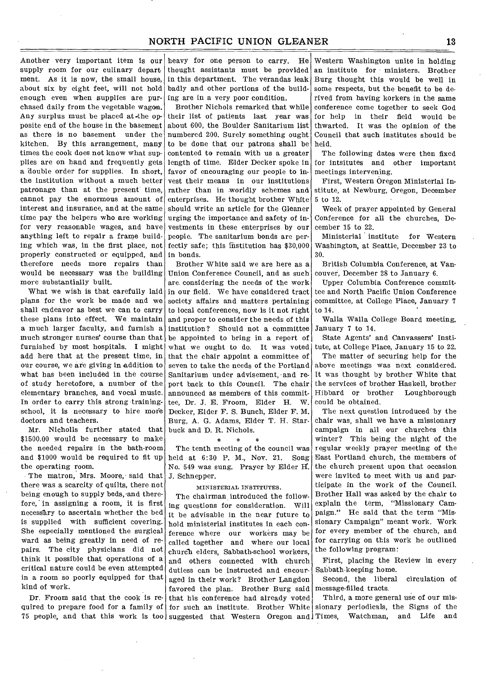Another very important item is our supply room for our culinary depart. ment. As it is now, the small house, about six by eight feet, will not hold enough even when supplies are purchased daily from the vegetable wagon. Any surplus must be placed at-the opposite end of the house in the basement as there is no basement under the kitchen. By this arrangement, many times the cook does not know what supplies are on hand and frequently gets a double order for supplies. In short, the institution without a much better patronage than at the present time, cannot pay the enormous amount of interest and insurance, and at the same time pay the helpers who are working for very reasonable wages, and have anything left to repair a frame building which was, in the first place, not properly constructed or equipped, and therefore needs more repairs than would be necessary was the building more substantially built.

What we wish is that carefully laid plans for the work be made and we shall endeavor as best we can to carry these plans into effect. We maintain a much larger faculty, and furnish a much stronger nurses' course than that furnished by most hospitals. I might add here that at the present time, in our course, we are giving in addition to what has been included in the course of study heretofore, a number of the elementary branches, and vocal music. In order to carry this strong trainingschool, it is necessary to hire more doctors and teachers.

Mr. Nicholls further stated that \$1500.00 would be necessary to make the needed repairs in the bath-room and \$1000 would be required to fit up the operating room.

The matron, Mrs. Moore, said that there was a scarcity of quilts, there not being enough to supply beds, and therefore, in assigning a room, it is first necessary to ascertain whether the bed is supplied with sufficient covering. She especially mentioned the surgical ward as being greatly in need of repairs. The city physicians did not think it possible that operations of a critical nature could be even attempted in a room so poorly equipped for that kind of work.

Dr. Froom said that the cook is required to prepare food for a family of for such an institute. Brother White

heavy for one person to carry. He thought assistants must be provided in this department. The verandas leak badly and other portions of the building are in a very poor condition.

Brother Nichols remarked that while their list of patients last year was about 600, the Boulder Sanitarium list numbered 200. Surely something ought to be done that our patrons shall be contented to remain with us a greater length of time. Elder Decker spoke in favor of encouraging our people to invest their means in our institutions rather than in worldly schemes and enterprises. He thought brother White should write an article for the Gleaner urging the importance and safety of investments in these enterprises by our people. The sanitarium bonds are perfectly safe; this institution has \$30,000 in bonds.

Brother White said we are here as a Union Conference Council, and as such are considering the needs of the work in our field. We have considered tract society affairs and matters pertaining to local conferences, now is it not right and proper to consider the needs of this institution? Should not a committee be appointed to bring in a report of what we ought to do. It was voted that the chair appoint a committee of seven to take the needs of the Portland Sanitarium under advisement, and report back to this Council. The chair announced as members of this committee, Dr. J. E. Froom, Elder H. W. Decker, Elder F. S. Bunch, Elder F. M. Burg, A. G. Adams, Elder T. H. Starbuck and D. R. Nichols.

\* \* The tenth meeting of the council was held at 6:30 P. M., Nov. 21. Song No. 549 was sung. Prayer by Elder H. J. Schnepper.

#### MINISTERIAL INSTITUTES.

75 people, and that this work is too suggested that Western Oregon and Times, Watchman, and Life and The chairman introduced the following questions for consideration. Will it be advisable in the near future to hold ministerial institutes in each conference where our workers may be called together and where our local churdh elders, Sabbath-school workers, and others connected with church dutiess can be instructed and encouraged in their work? Brother Langdon favored the plan. Brother Burg said that his conference had already voted

Western Washington unite in holding an institute for ministers. Brother Burg thought this would be well in some respects, but the benefit to be derived from having korkers in the same conference come together to seek God for help in their field would be thwarted. It was the opinion of the Council that such institutes should be held.

The following dates were then fixed for intsitutes and other important meetings intervening.

First, Western Oregon Ministerial Institute, at Newburg, Oregon, December 5 to 12.

Week of prayer appointed by General Conference for all the churches, December 15 to 22.

Ministerial institute for Western Washington, at Seattle, December 23 to 30.

British Columbia Conference, at Vancouver, December 28 to January 6.

Upper Columbia Conference committee and North Pacific Union Conference committee, at College Place, January 7 to 14.

Walla Walla College Board meeting, January 7 to 14.

State Agents' and Canvassers' Institute, at College Place, January 15 to 22. The matter of securing help for the above meetings was next considered. It was thought by brother White that the services of brother Haskell, brother Hibbard or brother Loughborough could be obtained.

The next question introduced by the chair was, shall we have a missionary campaign in all our churches this winter? This being the night of the regular weekly prayer meeting of the East Portland church, the members of the church present upon that occasion were invited to meet With us and participate in the work of the Council. Brother Hall was asked by the chair to explain the term, "Missionary Campaign." He said that the term "Missionary Campaign" meant work. Work for every member of the church, and for carrying on this work he outlined the following program:

First, placing the Review in every Sabbath-keeping home.

Second, the liberal circulation of message-filled tracts.

Third, a more general use of our missionary periodicals, the Signs of the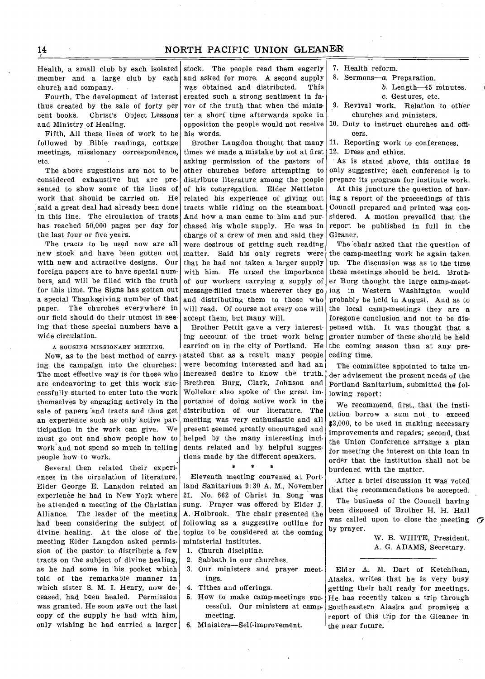Health, a small club by each isolated church and company.

Fourth, The development of interest thus created by the sale of forty per cent books. Christ's Object Lessons and Ministry of Healing.

Fifth, All these lines of work to be followed by Bible readings, cottage meetings, missionary correspondence, etc.

The above sugestions are not to be considered exhaustive but are presented to show some of the lines of work that should be carried on. He said a great deal had already been done in this line. The circulation of tracts has reached 50,000 pages per day for the last four or five years.

The tracts to be used now are all new stock and have been gotten out with new and attractive designs. Our foreign papers are to have special numbers, and will be filled with the truth for this time. The Signs has gotten out a special Thanksgiving number of that paper. The churches everywhere in our field should do their utmost in see ing that these special numbers have a wide circulation.

A ROUSING MISSIONARY MEETING.

ing the campaign into the churches: The most effective way is for those who are endeavoring to get this work successfully started to enter into the work themselves by engaging actively in the sale of papers 'and tracts and thus get an experience such as only active participation in the work can give. We must go out and show people how to work and not spend so much in telling people how to work.

Several then related their experiences in the circulation of literature. Elder George E. Langdon related an experience he had in New York where he attended a meeting of the Christian Alliance. The leader of the meeting had been considering the subject of divine healing. At the close of the meeting Elder Langdon asked permission of the pastor to distribute a few tracts on the subject of divine healing, as he had some in his pocket which told of the remarkable manner in which sister S. M. I. Henry, now deceased, had been healed. Permission was granted. He soon gave out the last copy of the supply he had with him, only wishing he had carried a larger

member and a large club by each and asked for more. A second supply stock. The people read them eagerly was obtained and distributed. This created such a strong sentiment in favor of the truth that when the minister a short time afterwards spoke in opposition the people would not receive his words.

> Brother Langdon thought that many times we made a mistake by not at first asking permission of the pastors of other churches before attempting to distribute literature among the people of his congregation. Elder Nettleton related his experience of giving out tracts while riding on the steamboat. And how a man came to him and purchased his whole supply. He was in charge of a crew of men and said they were desirous of getting such reading matter. Said his only regrets were that he had not taken a larger supply with him. He urged the importance of our workers carrying a supply of message-filled tracts wherever they go and distributing them to those who will read. Of course not every one will accept them, but many will.

Now, as to the best method of carry | stated that as a result many people Brother Pettit gave a very interesting account of the tract work being carried on in the city of Portland. He were becoming interested and had an increased desire to know the truth. Brethren Burg, Clark, Johnson and Wollekar also spoke of the great importance of doing active work in the distribution of our literature. The meeting was very enthusiastic and all present seemed greatly encouraged and helped by the many interesting incidents related and by helpful suggestions made by the different speakers.

 $\bullet$ 

Eleventh meeting convened at Portland Sanitarium 9:30 A. M., November 21. No. 662 of Christ in Song was sung. Prayer was offered by Elder J. A. Holbrook. The chair presented the following as a suggestive outline for topics to be considered at the coming ministerial institutes.

- 1. Church discipline.
- 2. Sabbath in our churches.
- 3. Our ministers and prayer meetings.
- 4. Tithes and offerings.
- 5. How to make camp-meetings successful. Our ministers at campmeeting.
- 6. Ministers—Self-improvement.
- 7. Health reform.
- 8. Sermons—a. Preparation.

b. Length-45 minutes.

c. Gestures, etc.

9. Revival work. Relation to other churches and ministers.

10. Duty to instruct churches and officers.

11. Reporting work to conferences.

12. Dress and ethics.

As is stated above, this outline is only suggestive; each conference is to prepare its program for institute work.

At this juncture the question of having a report of the proceedings of this Council prepared and printed was considered. A motion prevailed that the report be published in full in the Gleaner.

The chair asked that the question of the camp-meeting work be again taken up. The discussion was as to the time these meetings should be held. Brother Burg thought the large camp-meeting in Western Washington would probably be held in August. And as to the local camp-meetings they are a foregone conclusion and not to be dispensed with. It was thought that a greater number of these should be held the coming season than at any preceding time.

The committee appointed to take under advisement the present needs of the Portland Sanitarium, submitted the following report:

We recommend, first, that the institution borrow a sum not to exceed \$3,000, to be used in making necessary improvements and repairs; second, that the Union Conference arrange a plan for meeting the interest on this loan in order that the institution shall not be burdened with the matter.

After a brief discussion it was voted that the recommendations be accepted.

The business of the Council having been disposed of Brother H. H. Hall was called upon to close the meeting  $\sigma$ by prayer.

> W. B. WHITE, President. A. G. ADAMS, Secretary.

Elder A. M. Dart of Ketchikan, Alaska, writes that he is very busy getting their hall ready for meetings. He has recently taken a trip through Southeastern Alaska and promises a report of this trip for the Gleaner in the near future.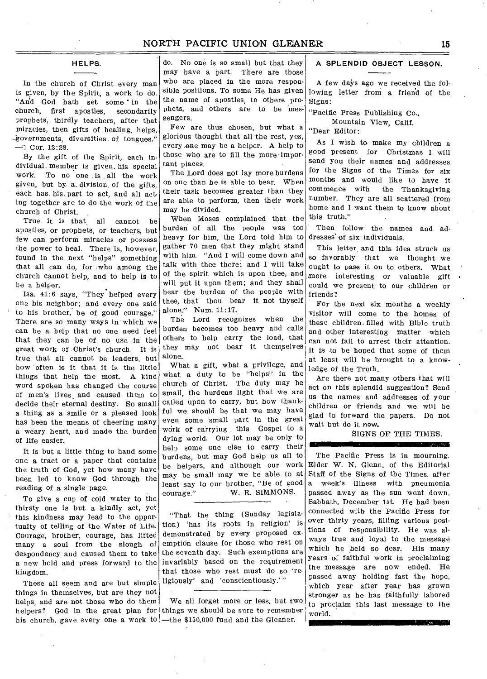#### **HELPS.**

In the church of Christ every man is given, by the Spirit, a work to do. "Arid God hath set some.' in the church, first apostles, secondarily prophets, thirdly teachers, after that miracles, then gifts of healing, helps, -governments, diversities of tongues."  $-1$  Cor. 12:28.

By the gift of the Spirit, each individual. member is given, his special work. To no one is all the work given, but by a, division, of the gifts, each has. his, part to act, and all acting together are to do the work of the church of Christ.

True it is that, all cannot be apostles, or prophets, or teachers, but few can perform miracles or possess the power to heal. There is, however, found in the next "helps" something that all can do, for who among the church cannot help, and to help is to be a helper.

Isa. 41:6 says, "They helped every one his neighbor; and every one said to his brother, be of good courage." There are so many ways in which we can be a help that no one need feel that they can be of no use in the great work of Christ's church. It is true that all cannot be leaders, but how 'often is it that it is the little things that help the most. A kind word spoken has changed the course of men's lives\_ and caused them to decide their eternal destiny. So small a thing as a smile or a pleased look has been the means of cheering many a weary heart, and made the burden of life easier.

It is but a little thing to hand some one a tract or a paper that contains the truth of God, yet how many have been led to know God through the reading of a single page.

To give a cup of cold water to the thirsty one is but a kindly act, yet this kindness may lead to the opportunity of telling of the Water of Life. Courage, brother, courage, has lifted many a soul from the slough of despondency and caused them to take a new hold and press forward to the kingdom.

These all seem and are but simple things in themselves, but are they not helps, and are not those who do them helpers? God in the great plan for things we should be sure to remember his church, gave every one a work to!—the \$150,000 fund and the Gleaner.

do. No one is so small but that they may have a part. There are those who are placed in the more responsible positions. To some He has given the name of apostles, to others prophets, and others are to be messengers.

Few are thus chosen, but what a glorious thought that all the rest, yes, every, one may be a helper. A help to those who are to fill the more important places.

The Lord does not lay more burdens on one than he is able to bear. When their task becomes greater than they are able to perform, then their work may be divided.

When Moses complained that the burden of all the people was too heavy for him, the Lord told him to gather 70 men that they might stand with him. "And I will come down and talk with thee there: and I will take of the spirit which is upon thee, and will put it upon them; and they shall bear the burden of the people with thee, that thou bear it not thyself alone." Num. 11:17.

The Lord recognizes when the burden becomes too heavy and calls others to help carry the load, that they may not bear it themselves alone.

What a gift, what a privilege, and what a duty to be "helps" in the church of Christ. The duty may be small, the burdens light that we are called upon to carry, but how thankful we should be that we may have even some small part in the great work of carrying this Gospel to a dying world. Our lot may be only to help some one else to carry their burdens, but may God help us all to be helpers, and although our work may be small may we be able to at least say to our brother, "Be of good courage." W. R. SIMMONS.

"That the thing (Sunday legislation) 'has its roots in religion' is demonstrated by every proposed exemption clause for those who rest on the seventh day. Such exemptions are invariably based on the requirement that those who rest must do so 'religiously' and 'conscientiously.' "

We all forget more or less, but two

# **A SPLENDID OBJECT LESSON.**

A few days ago we received the following letter from a friend of the Signs:

"Pacific Press Publishing Co., Mountain View, Calif.

"Dear Editor:

As I wish to make my children a good present for Christmas I will send you their names and addresses for the Signs of the Times for six months and would like to have it commence with the Thanksgiving number. They are all scattered from home and I want them to know about this truth."

Then follow the names and addresses' of six individuals.

This letter, and this idea struck us so favorably that we thought we ought to pass it on to others. What more interesting or valuable gift could we present to our children or friends?

For the next six months a weekly visitor will come to the homes of these children. filled with Bible truth and other interesting matter which can not fail to arrest their attention. It is to be hoped that some of them at least will be brought to a knowledge of the Truth.

Are there not many others that will act on this splendid suggestion? Send us the names and addresses of your children or friends and we will be glad to forward the papers. Do not wait but do it now.

--

SIGNS OF THE TIMES.

**The Company's Service** 

The Pacific Press is in mourning. Elder W. N. Glenn, of the Editorial Staff of the Signs of the Times, after a week's illness with pneumonia passed away as the sun went. down, Sabbath, December 1st. He had been connected with. the Pacific Press for over thirty years, filling various positions of responsibility. He was always true and loyal to the message which he held so dear. His many years of faithful work in proclaiming the message are now ended. He passed away holding fast the hope, which year after year has grown stronger as he has faithfully labored to proclaim this last message to the world.